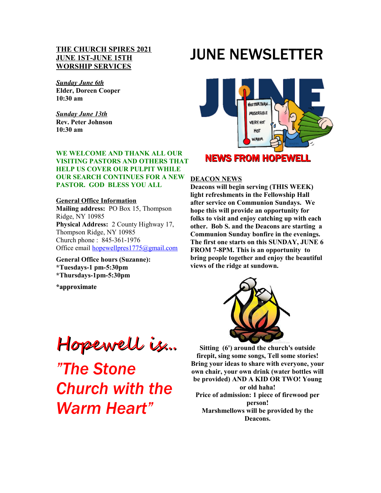#### **THE CHURCH SPIRES 2021 JUNE 1ST-JUNE 15TH WORSHIP SERVICES**

#### *Sunday June 6th* **Elder, Doreen Cooper 10:30 am**

*Sunday June 13th* **Rev. Peter Johnson 10:30 am**

#### **WE WELCOME AND THANK ALL OUR VISITING PASTORS AND OTHERS THAT HELP US COVER OUR PULPIT WHILE OUR SEARCH CONTINUES FOR A NEW PASTOR. GOD BLESS YOU ALL**

#### **General Office Information**

**Mailing address:** PO Box 15, Thompson Ridge, NY 10985 **Physical Address:** 2 County Highway 17, Thompson Ridge, NY 10985 Church phone : 845-361-1976 Office email [hopewellpres1775@gmail.com](mailto:hopewellpres1775@gmail.com)

**General Office hours (Suzanne): \*Tuesdays-1 pm-5:30pm \*Thursdays-1pm-5:30pm** 

**\*approximate** 

# JUNE NEWSLETTER



## NEWS FROM HOPEWELL

#### **DEACON NEWS**

**Deacons will begin serving (THIS WEEK) light refreshments in the Fellowship Hall after service on Communion Sundays. We hope this will provide an opportunity for folks to visit and enjoy catching up with each other. Bob S. and the Deacons are starting a Communion Sunday bonfire in the evenings. The first one starts on this SUNDAY, JUNE 6 FROM 7-8PM. This is an opportunity to bring people together and enjoy the beautiful views of the ridge at sundown.** 



**Sitting (6') around the church's outside firepit, sing some songs, Tell some stories! Bring your ideas to share with everyone, your own chair, your own drink (water bottles will be provided) AND A KID OR TWO! Young or old haha! Price of admission: 1 piece of firewood per person! Marshmellows will be provided by the Deacons.**

Hopewell is...

*"The Stone Church with the Warm Heart"*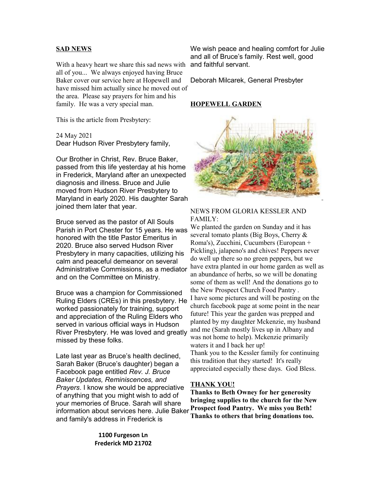#### **SAD NEWS**

With a heavy heart we share this sad news with all of you... We always enjoyed having Bruce Baker cover our service here at Hopewell and have missed him actually since he moved out of the area. Please say prayers for him and his family. He was a very special man.

This is the article from Presbytery:

24 May 2021 Dear Hudson River Presbytery family,

Our Brother in Christ, Rev. Bruce Baker, passed from this life yesterday at his home in Frederick, Maryland after an unexpected diagnosis and illness. Bruce and Julie moved from Hudson River Presbytery to Maryland in early 2020. His daughter Sarah joined them later that year.

Bruce served as the pastor of All Souls Parish in Port Chester for 15 years. He was honored with the title Pastor Emeritus in 2020. Bruce also served Hudson River Presbytery in many capacities, utilizing his calm and peaceful demeanor on several Administrative Commissions, as a mediator and on the Committee on Ministry.

Bruce was a champion for Commissioned Ruling Elders (CREs) in this presbytery. He worked passionately for training, support and appreciation of the Ruling Elders who served in various official ways in Hudson River Presbytery. He was loved and greatly missed by these folks.

Late last year as Bruce's health declined, Sarah Baker (Bruce's daughter) began a Facebook page entitled *Rev. J. Bruce Baker Updates, Reminiscences, and Prayers*. I know she would be appreciative of anything that you might wish to add of your memories of Bruce. Sarah will share information about services here. Julie Baker and family's address in Frederick is

> **1100 Furgeson Ln Frederick MD 21702**

We wish peace and healing comfort for Julie and all of Bruce's family. Rest well, good and faithful servant.

Deborah Milcarek, General Presbyter

#### **HOPEWELL GARDEN**



#### NEWS FROM GLORIA KESSLER AND FAMILY:

We planted the garden on Sunday and it has several tomato plants (Big Boys, Cherry & Roma's), Zucchini, Cucumbers (European + Pickling), jalapeno's and chives! Peppers never do well up there so no green peppers, but we have extra planted in our home garden as well as an abundance of herbs, so we will be donating some of them as well! And the donations go to the New Prospect Church Food Pantry . I have some pictures and will be posting on the church facebook page at some point in the near future! This year the garden was prepped and planted by my daughter Mckenzie, my husband and me (Sarah mostly lives up in Albany and was not home to help). Mckenzie primarily waters it and I back her up! Thank you to the Kessler family for continuing this tradition that they started! It's really appreciated especially these days. God Bless.

#### **THANK YOU!**

**Thanks to Beth Owney for her generosity bringing supplies to the church for the New Prospect food Pantry. We miss you Beth! Thanks to others that bring donations too.**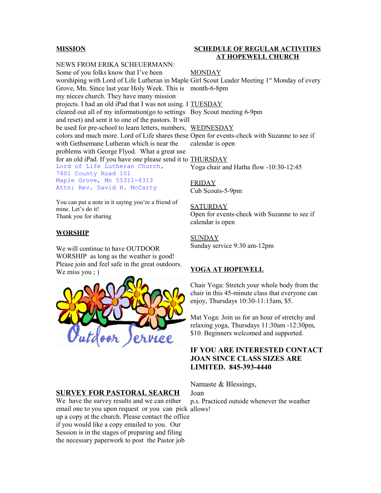#### **MISSION**

NEWS FROM ERIKA SCHEUERMANN: Some of you folks know that I've been worshiping with Lord of Life Lutheran in Maple Girl Scout Leader Meeting 1<sup>st</sup> Monday of every Grove, Mn. Since last year Holy Week. This is month-6-8pm my nieces church. They have many mission projects. I had an old iPad that I was not using. I **TUESDAY** cleared out all of my information(go to settings Boy Scout meeting 6-9pm and reset) and sent it to one of the pastors. It will be used for pre-school to learn letters, numbers, WEDNESDAY colors and much more. Lord of Life shares these Open for events-check with Suzanne to see if with Gethsemane Lutheran which is near the problems with George Flyod. What a great use for an old iPad. If you have one please send it to **THURSDAY** Lord of Life Lutheran Church, 7401 County Road 101 Maple Grove, Mn 55311-4313 Attn: Rev. David H. McCarty **MONDAY** calendar is open Yoga chair and Hatha flow -10:30-12:45 FRIDAY

You can put a note in it saying you're a friend of mine. Let's do it! Thank you for sharing

#### **WORSHIP**

We will continue to have OUTDOOR WORSHIP as long as the weather is good! Please join and feel safe in the great outdoors. We miss you ; )



#### **SURVEY FOR PASTORAL SEARCH**

We have the survey results and we can either email one to you upon request or you can pick allows! up a copy at the church. Please contact the office if you would like a copy emailed to you. Our Session is in the stages of preparing and filing the necessary paperwork to post the Pastor job

#### **SCHEDULE OF REGULAR ACTIVITIES AT HOPEWELL CHURCH**

Cub Scouts-5-9pm

SATURDAY Open for events-check with Suzanne to see if calendar is open

SUNDAY Sunday service 9:30 am-12pm

#### **YOGA AT HOPEWELL**

Chair Yoga: Stretch your whole body from the chair in this 45-minute class that everyone can enjoy, Thursdays 10:30-11:15am, \$5.

Mat Yoga: Join us for an hour of stretchy and relaxing yoga, Thursdays 11:30am -12:30pm, \$10. Beginners welcomed and supported.

#### **IF YOU ARE INTERESTED CONTACT JOAN SINCE CLASS SIZES ARE LIMITED. 845-393-4440**

Namaste & Blessings, Joan

p.s. Practiced outside whenever the weather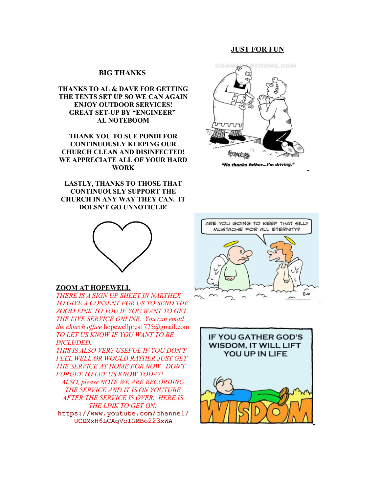#### **JUST FOR FUN**

#### **BIG THANKS**

**THANKS TO AL & DAVE FOR GETTING THE TENTS SET UP SO WE CAN AGAIN ENJOY OUTDOOR SERVICES! GREAT SET-UP BY "ENGINEER" AL NOTEBOOM**

**THANK YOU TO SUE PONDI FOR CONTINUOUSLY KEEPING OUR CHURCH CLEAN AND DISINFECTED! WE APPRECIATE ALL OF YOUR HARD WORK**

**LASTLY, THANKS TO THOSE THAT CONTINUOUSLY SUPPORT THE CHURCH IN ANY WAY THEY CAN. IT DOESN'T GO UNNOTICED!**



#### **ZOOM AT HOPEWELL**

*THERE IS A SIGN UP SHEET IN NARTHEX TO GIVE A CONSENT FOR US TO SEND THE ZOOM LINK TO YOU IF YOU WANT TO GET THE LIVE SERVICE ONLINE. You can email the church office* [hopewellpres1775@gmail.com](mailto:hopewellpres1775@gmail.com) *TO LET US KNOW IF YOU WANT TO BE INCLUDED.*

*THIS IS ALSO VERY USEFUL IF YOU DON'T FEEL WELL OR WOULD RATHER JUST GET THE SERVICE AT HOME FOR NOW. DON'T FORGET TO LET US KNOW TODAY! ALSO, please NOTE WE ARE RECORDING THE SERVICE AND IT IS ON YOUTUBE AFTER THE SERVICE IS OVER. HERE IS THE LINK TO GET ON:* [https://www.youtube.com/channel/](https://www.youtube.com/channel/UCDMxH6LCAgVoIGMBo223xWA)

[UCDMxH6LCAgVoIGMBo223xWA](https://www.youtube.com/channel/UCDMxH6LCAgVoIGMBo223xWA)



"No thanks father...I'm driving."



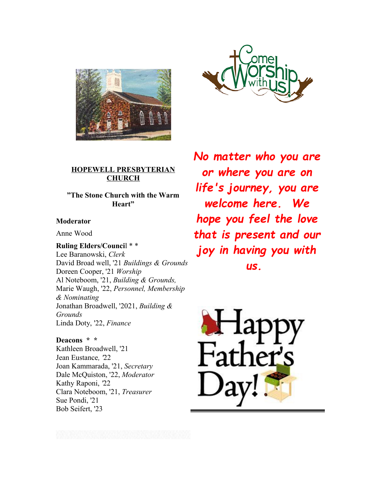



### **HOPEWELL PRESBYTERIAN CHURCH**

**"The Stone Church with the Warm Heart"**

#### **Moderator**

Anne Wood

**Ruling Elders/Counci**l \* \* Lee Baranowski, *Clerk* David Broad well, '21 *Buildings & Grounds*  Doreen Cooper, '21 *Worship* Al Noteboom, '21, *Building & Grounds,*  Marie Waugh, '22, *Personnel, Membership & Nominating* Jonathan Broadwell, '2021, *Building & Grounds* Linda Doty, '22, *Finance*

**Deacons \* \***  Kathleen Broadwell, '21 Jean Eustance*, '*22 Joan Kammarada, '21, *Secretary*  Dale McQuiston, '22, *Moderator*  Kathy Raponi, *'*22 Clara Noteboom, '21, *Treasurer*  Sue Pondi, '21 Bob Seifert, '23

*No matter who you are or where you are on life's journey, you are welcome here. We hope you feel the love that is present and our joy in having you with us.*